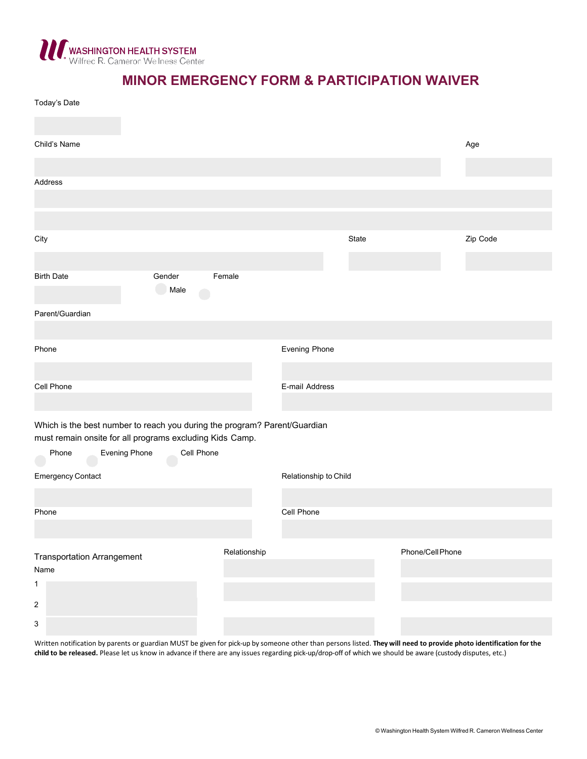

# **MINOR EMERGENCY FORM & PARTICIPATION WAIVER**

| Today's Date                                                                                                                                                           |                      |              |                       |       |                  |          |  |
|------------------------------------------------------------------------------------------------------------------------------------------------------------------------|----------------------|--------------|-----------------------|-------|------------------|----------|--|
| Child's Name                                                                                                                                                           |                      |              |                       |       |                  | Age      |  |
| Address                                                                                                                                                                |                      |              |                       |       |                  |          |  |
|                                                                                                                                                                        |                      |              |                       |       |                  |          |  |
| City                                                                                                                                                                   |                      |              |                       | State |                  | Zip Code |  |
| <b>Birth Date</b>                                                                                                                                                      | Gender<br>Male<br>J. | Female       |                       |       |                  |          |  |
| Parent/Guardian                                                                                                                                                        |                      |              |                       |       |                  |          |  |
| Phone                                                                                                                                                                  |                      |              | Evening Phone         |       |                  |          |  |
| Cell Phone                                                                                                                                                             |                      |              | E-mail Address        |       |                  |          |  |
| Which is the best number to reach you during the program? Parent/Guardian<br>must remain onsite for all programs excluding Kids Camp.<br><b>Evening Phone</b><br>Phone | Cell Phone           |              |                       |       |                  |          |  |
| <b>Emergency Contact</b>                                                                                                                                               |                      |              | Relationship to Child |       |                  |          |  |
| Phone                                                                                                                                                                  |                      |              | Cell Phone            |       |                  |          |  |
| <b>Transportation Arrangement</b><br>Name<br>1<br>$\sqrt{2}$                                                                                                           |                      | Relationship |                       |       | Phone/Cell Phone |          |  |
| $\ensuremath{\mathsf{3}}$                                                                                                                                              |                      |              |                       |       |                  |          |  |

Written notification by parents or guardian MUST be given for pick-up by someone other than persons listed. They will need to provide photo identification for the child to be released. Please let us know in advance if ther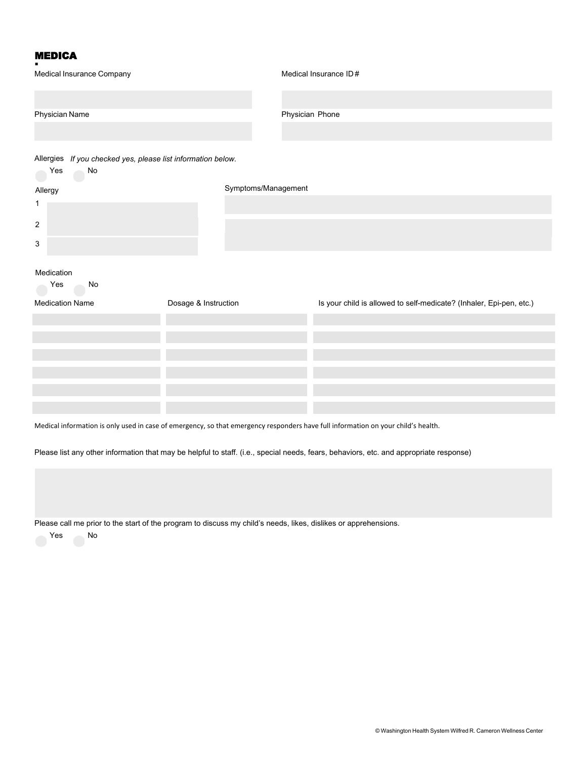### MEDICA

| Medical Insurance Company                                                 |  | Medical Insurance ID#                                               |  |  |  |  |
|---------------------------------------------------------------------------|--|---------------------------------------------------------------------|--|--|--|--|
|                                                                           |  |                                                                     |  |  |  |  |
| Physician Name                                                            |  | Physician Phone                                                     |  |  |  |  |
|                                                                           |  |                                                                     |  |  |  |  |
| Allergies If you checked yes, please list information below.<br>Yes<br>No |  |                                                                     |  |  |  |  |
| Allergy                                                                   |  | Symptoms/Management                                                 |  |  |  |  |
| 1                                                                         |  |                                                                     |  |  |  |  |
| $\overline{c}$                                                            |  |                                                                     |  |  |  |  |
| $\sqrt{3}$                                                                |  |                                                                     |  |  |  |  |
| Medication                                                                |  |                                                                     |  |  |  |  |
| Yes<br>No                                                                 |  |                                                                     |  |  |  |  |
| Dosage & Instruction<br><b>Medication Name</b>                            |  | Is your child is allowed to self-medicate? (Inhaler, Epi-pen, etc.) |  |  |  |  |
|                                                                           |  |                                                                     |  |  |  |  |
|                                                                           |  |                                                                     |  |  |  |  |
|                                                                           |  |                                                                     |  |  |  |  |
|                                                                           |  |                                                                     |  |  |  |  |
|                                                                           |  |                                                                     |  |  |  |  |

Medical information is only used in case of emergency, so that emergency responders have full information on your child's health.

Please list any other information that may be helpful to staff. (i.e., special needs, fears, behaviors, etc. and appropriate response)

Please call me prior to the start of the program to discuss my child's needs, likes, dislikes or apprehensions.<br>Yes No

 $\bigcirc$  No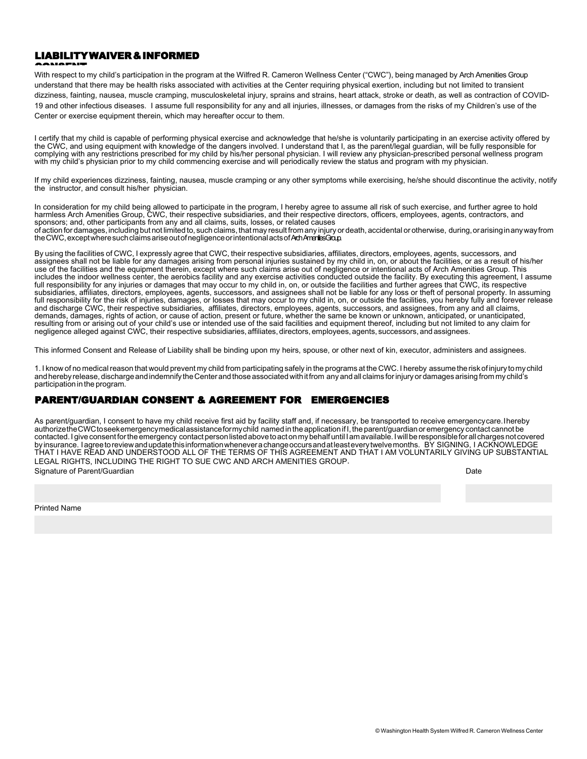## LIABILITYWAIVER&INFORMED

▲▲▲▲●▲■■<br>With respect to my child's participation in the program at the Wilfred R. Cameron Wellness Center ("CWC"), being managed by Arch Amenities Group understand that there may be health risks associated with activities at the Center requiring physical exertion, including but not limited to transient dizziness, fainting, nausea, muscle cramping, musculoskeletal injury, sprains and strains, heart attack, stroke or death, as well as contraction of COVID-19 and other infectious diseases. I assume full responsibility for any and all injuries, illnesses, or damages from the risks of my Children's use of the Center or exercise equipment therein, which may hereafter occur to them.

I certify that my child is capable of performing physical exercise and acknowledge that he/she is voluntarily participating in an exercise activity offered by the CWC, and using equipment with knowledge of the dangers involved. I understand that I, as the parent/legal guardian, will be fully responsible for complying with any restrictions prescribed for my child by his/her personal physician. I will review any physician-prescribed personal wellness program with my child's physician prior to my child commencing exercise and will periodically review the status and program with my physician.

If my child experiences dizziness, fainting, nausea, muscle cramping or any other symptoms while exercising, he/she should discontinue the activity, notify the instructor, and consult his/her physician.

In consideration for my child being allowed to participate in the program, I hereby agree to assume all risk of such exercise, and further agree to hold harmless Arch Amenities Group, CWC, their respective subsidiaries, and their respective directors, officers, employees, agents, contractors, and sponsors; and, other participants from any and all claims, suits, losses, or related causes of action for damages, including but not limited to, such claims, that may result from any injury or death, accidental or otherwise, during,orarisinginanywayfrom the CWC, except where such claims arise out of negligence or intentional acts of Arch AmeritisGroup.

By using the facilities of CWC, I expressly agree that CWC, their respective subsidiaries, affiliates, directors, employees, agents, successors, and assignees shall not be liable for any damages arising from personal injuries sustained by my child in, on, or about the facilities, or as a result of his/her use of the facilities and the equipment therein, except where such claims arise out of negligence or intentional acts of Arch Amenities Group. This includes the indoor wellness center, the aerobics facility and any exercise activities conducted outside the facility. By executing this agreement, I assume full responsibility for any injuries or damages that may occur to my child in, on, or outside the facilities and further agrees that CWC, its respective subsidiaries, affiliates, directors, employees, agents, successors, and assignees shall not be liable for any loss or theft of personal property. In assuming full responsibility for the risk of injuries, damages, or losses that may occur to my child in, on, or outside the facilities, you hereby fully and forever release and discharge CWC, their respective subsidiaries, affiliates, directors, employees, agents, successors, and assignees, from any and all claims, demands, damages, rights of action, or cause of action, present or future, whether the same be known or unknown, anticipated, or unanticipated, resulting from or arising out of your child's use or intended use of the said facilities and equipment thereof, including but not limited to any claim for negligence alleged against CWC, their respective subsidiaries, affiliates, directors, employees, agents, successors, and assignees.

This informed Consent and Release of Liability shall be binding upon my heirs, spouse, or other next of kin, executor, administers and assignees.

1. I know of no medical reason that would prevent my child from participating safely in the programs at the CWC. I hereby assumetheriskofinjury tomy child and hereby release, discharge and indemnify the Center and those associated with it from any and all claims for injury or damages arising from my child's participationin the program.

#### PARENT/GUARDIAN CONSENT & AGREEMENT FOR EMERGENCIES

As parent/guardian, I consent to have my child receive first aid by facility staff and, if necessary, be transported to receive emergency care. Ihereby authorizetheCWCtoseekemergencymedicalassistanceformychild named in the application if I, the parent/guardianor emergency contact cannot be contacted. I give consent for the emergency contact person listed above to act on my behalf until I am available. I will be responsible for all charges not covered by insurance. Iagreetoreviewandupdatethisinformationwheneverachangeoccursandatleasteverytwelvemonths. BY SIGNING, I ACKNOWLEDGE THAT I HAVE READ AND UNDERSTOOD ALL OF THE TERMS OF THIS AGREEMENT AND THAT I AM VOLUNTARILY GIVING UP SUBSTANTIAL LEGAL RIGHTS, INCLUDING THE RIGHT TO SUE CWC AND ARCH AMENITIES GROUP. Signature of Parent/Guardian **Date District Controllering Controllering** Controllering Controllering Controllering Date

Printed Name